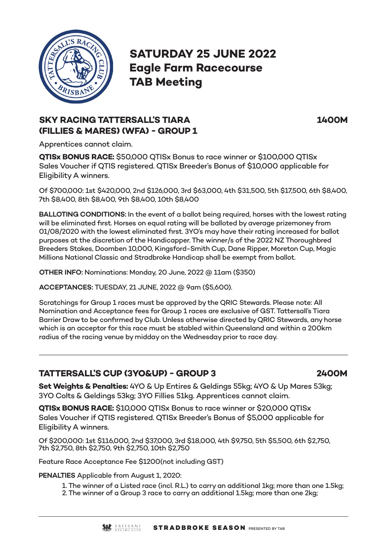

**SATURDAY 25 JUNE 2022 Eagle Farm Racecourse TAB Meeting**

**SKY RACING TATTERSALL'S TIARA 1400M**

Apprentices cannot claim.

**(FILLIES & MARES) (WFA) - GROUP 1**

**QTISx BONUS RACE:** \$50,000 QTISx Bonus to race winner or \$100,000 QTISx Sales Voucher if QTIS registered. QTISx Breeder's Bonus of \$10,000 applicable for Eligibility A winners.

Of \$700,000: 1st \$420,000, 2nd \$126,000, 3rd \$63,000, 4th \$31,500, 5th \$17,500, 6th \$8,400, 7th \$8,400, 8th \$8,400, 9th \$8,400, 10th \$8,400

**BALLOTING CONDITIONS:** In the event of a ballot being required, horses with the lowest rating will be eliminated first. Horses on equal rating will be balloted by average prizemoney from 01/08/2020 with the lowest eliminated first. 3YO's may have their rating increased for ballot purposes at the discretion of the Handicapper. The winner/s of the 2022 NZ Thoroughbred Breeders Stakes, Doomben 10,000, Kingsford-Smith Cup, Dane Ripper, Moreton Cup, Magic Millions National Classic and Stradbroke Handicap shall be exempt from ballot.

**OTHER INFO:** Nominations: Monday, 20 June, 2022 @ 11am (\$350)

**ACCEPTANCES:** TUESDAY, 21 JUNE, 2022 @ 9am (\$5,600).

Scratchings for Group 1 races must be approved by the QRIC Stewards. Please note: All Nomination and Acceptance fees for Group 1 races are exclusive of GST. Tattersall's Tiara Barrier Draw to be confirmed by Club. Unless otherwise directed by QRIC Stewards, any horse which is an acceptor for this race must be stabled within Queensland and within a 200km radius of the racing venue by midday on the Wednesday prior to race day.

# **TATTERSALL'S CUP (3YO&UP) - GROUP 3 2400M**

**Set Weights & Penalties:** 4YO & Up Entires & Geldings 55kg; 4YO & Up Mares 53kg; 3YO Colts & Geldings 53kg; 3YO Fillies 51kg. Apprentices cannot claim.

**QTISx BONUS RACE:** \$10,000 QTISx Bonus to race winner or \$20,000 QTISx Sales Voucher if QTIS registered. QTISx Breeder's Bonus of \$5,000 applicable for Eligibility A winners.

Of \$200,000: 1st \$116,000, 2nd \$37,000, 3rd \$18,000, 4th \$9,750, 5th \$5,500, 6th \$2,750, 7th \$2,750, 8th \$2,750, 9th \$2,750, 10th \$2,750

Feature Race Acceptance Fee \$1200(not including GST)

**PENALTIES** Applicable from August 1, 2020:

- 1. The winner of a Listed race (incl. R.L.) to carry an additional 1kg; more than one 1.5kg;
- 2. The winner of a Group 3 race to carry an additional 1.5kg; more than one 2kg;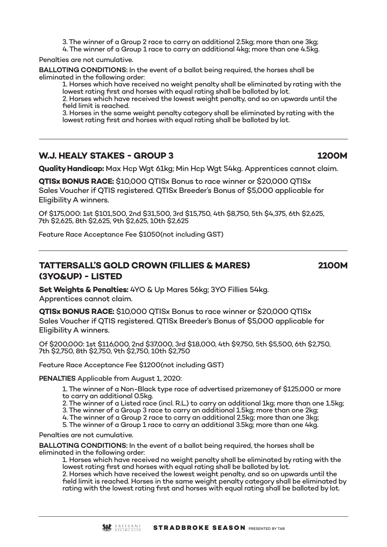3. The winner of a Group 2 race to carry an additional 2.5kg; more than one 3kg;

4. The winner of a Group 1 race to carry an additional 4kg; more than one 4.5kg.

Penalties are not cumulative.

**BALLOTING CONDITIONS:** In the event of a ballot being required, the horses shall be eliminated in the following order:

1. Horses which have received no weight penalty shall be eliminated by rating with the lowest rating first and horses with equal rating shall be balloted by lot.

2. Horses which have received the lowest weight penalty, and so on upwards until the field limit is reached.

3. Horses in the same weight penalty category shall be eliminated by rating with the lowest rating first and horses with equal rating shall be balloted by lot.

# **W.J. HEALY STAKES - GROUP 3 1200M**

**Quality Handicap:** Max Hcp Wgt 61kg; Min Hcp Wgt 54kg. Apprentices cannot claim.

**QTISx BONUS RACE:** \$10,000 QTISx Bonus to race winner or \$20,000 QTISx

Sales Voucher if QTIS registered. QTISx Breeder's Bonus of \$5,000 applicable for Eligibility A winners.

Of \$175,000: 1st \$101,500, 2nd \$31,500, 3rd \$15,750, 4th \$8,750, 5th \$4,375, 6th \$2,625, 7th \$2,625, 8th \$2,625, 9th \$2,625, 10th \$2,625

Feature Race Acceptance Fee \$1050(not including GST)

# **TATTERSALL'S GOLD CROWN (FILLIES & MARES) 2100M (3YO&UP) - LISTED**

**Set Weights & Penalties:** 4YO & Up Mares 56kg; 3YO Fillies 54kg. Apprentices cannot claim.

**QTISx BONUS RACE:** \$10,000 QTISx Bonus to race winner or \$20,000 QTISx Sales Voucher if QTIS registered. QTISx Breeder's Bonus of \$5,000 applicable for Eligibility A winners.

Of \$200,000: 1st \$116,000, 2nd \$37,000, 3rd \$18,000, 4th \$9,750, 5th \$5,500, 6th \$2,750, 7th \$2,750, 8th \$2,750, 9th \$2,750, 10th \$2,750

Feature Race Acceptance Fee \$1200(not including GST)

**PENALTIES** Applicable from August 1, 2020:

- 1. The winner of a Non-Black type race of advertised prizemoney of \$125,000 or more to carry an additional 0.5kg.
- 2. The winner of a Listed race (incl. R.L.) to carry an additional 1kg; more than one 1.5kg;
- 3. The winner of a Group 3 race to carry an additional 1.5kg; more than one 2kg;
- 4. The winner of a Group 2 race to carry an additional 2.5kg; more than one 3kg;
- 5. The winner of a Group 1 race to carry an additional 3.5kg; more than one 4kg.

Penalties are not cumulative.

**BALLOTING CONDITIONS:** In the event of a ballot being required, the horses shall be eliminated in the following order:

1. Horses which have received no weight penalty shall be eliminated by rating with the lowest rating first and horses with equal rating shall be balloted by lot. 2. Horses which have received the lowest weight penalty, and so on upwards until the

field limit is reached. Horses in the same weight penalty category shall be eliminated by rating with the lowest rating first and horses with equal rating shall be balloted by lot.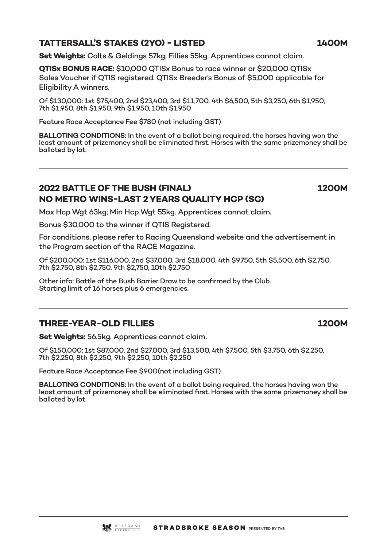#### **TATTERSALL'S STAKES (2YO) - LISTED 1400M**

**Set Weights:** Colts & Geldings 57kg; Fillies 55kg. Apprentices cannot claim.

**QTISx BONUS RACE:** \$10,000 QTISx Bonus to race winner or \$20,000 QTISx Sales Voucher if QTIS registered. QTISx Breeder's Bonus of \$5,000 applicable for Eligibility A winners.

Of \$130,000: 1st \$75,400, 2nd \$23,400, 3rd \$11,700, 4th \$6,500, 5th \$3,250, 6th \$1,950, 7th \$1,950, 8th \$1,950, 9th \$1,950, 10th \$1,950

Feature Race Acceptance Fee \$780 (not including GST)

**BALLOTING CONDITIONS:** In the event of a ballot being required, the horses having won the least amount of prizemoney shall be eliminated first. Horses with the same prizemoney shall be balloted by lot.

## **2022 BATTLE OF THE BUSH (FINAL) 1200M NO METRO WINS-LAST 2 YEARS QUALITY HCP (SC)**

Max Hcp Wgt 63kg; Min Hcp Wgt 55kg. Apprentices cannot claim.

Bonus \$30,000 to the winner if QTIS Registered.

For conditions, please refer to Racing Queensland website and the advertisement in the Program section of the RACE Magazine.

Of \$200,000: 1st \$116,000, 2nd \$37,000, 3rd \$18,000, 4th \$9,750, 5th \$5,500, 6th \$2,750, 7th \$2,750, 8th \$2,750, 9th \$2,750, 10th \$2,750

Other info: Battle of the Bush Barrier Draw to be confirmed by the Club. Starting limit of 16 horses plus 6 emergencies.

#### **THREE-YEAR-OLD FILLIES 1200M**

**Set Weights:** 56.5kg. Apprentices cannot claim.

Of \$150,000: 1st \$87,000, 2nd \$27,000, 3rd \$13,500, 4th \$7,500, 5th \$3,750, 6th \$2,250, 7th \$2,250, 8th \$2,250, 9th \$2,250, 10th \$2,250

Feature Race Acceptance Fee \$900(not including GST)

**BALLOTING CONDITIONS:** In the event of a ballot being required, the horses having won the least amount of prizemoney shall be eliminated first. Horses with the same prizemoney shall be balloted by lot.